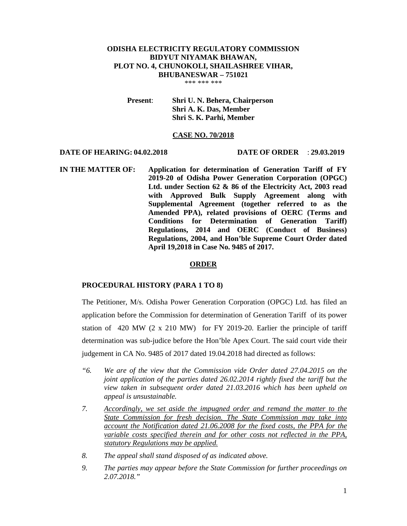# **ODISHA ELECTRICITY REGULATORY COMMISSION BIDYUT NIYAMAK BHAWAN, PLOT NO. 4, CHUNOKOLI, SHAILASHREE VIHAR, BHUBANESWAR – 751021**

\*\*\* \*\*\* \*\*\*

**Present**: **Shri U. N. Behera, Chairperson Shri A. K. Das, Member Shri S. K. Parhi, Member** 

## **CASE NO. 70/2018**

#### **DATE OF HEARING: 04.02.2018 DATE OF ORDER** : **29.03.2019**

**IN THE MATTER OF: Application for determination of Generation Tariff of FY 2019-20 of Odisha Power Generation Corporation (OPGC) Ltd. under Section 62 & 86 of the Electricity Act, 2003 read with Approved Bulk Supply Agreement along with Supplemental Agreement (together referred to as the Amended PPA), related provisions of OERC (Terms and Conditions for Determination of Generation Tariff) Regulations, 2014 and OERC (Conduct of Business) Regulations, 2004, and Hon'ble Supreme Court Order dated April 19,2018 in Case No. 9485 of 2017.** 

## **ORDER**

# **PROCEDURAL HISTORY (PARA 1 TO 8)**

The Petitioner, M/s. Odisha Power Generation Corporation (OPGC) Ltd. has filed an application before the Commission for determination of Generation Tariff of its power station of 420 MW (2 x 210 MW) for FY 2019-20. Earlier the principle of tariff determination was sub-judice before the Hon'ble Apex Court. The said court vide their judgement in CA No. 9485 of 2017 dated 19.04.2018 had directed as follows:

- *"6. We are of the view that the Commission vide Order dated 27.04.2015 on the joint application of the parties dated 26.02.2014 rightly fixed the tariff but the view taken in subsequent order dated 21.03.2016 which has been upheld on appeal is unsustainable.*
- *7. Accordingly, we set aside the impugned order and remand the matter to the State Commission for fresh decision. The State Commission may take into account the Notification dated 21.06.2008 for the fixed costs, the PPA for the variable costs specified therein and for other costs not reflected in the PPA, statutory Regulations may be applied.*
- *8. The appeal shall stand disposed of as indicated above.*
- *9. The parties may appear before the State Commission for further proceedings on 2.07.2018."*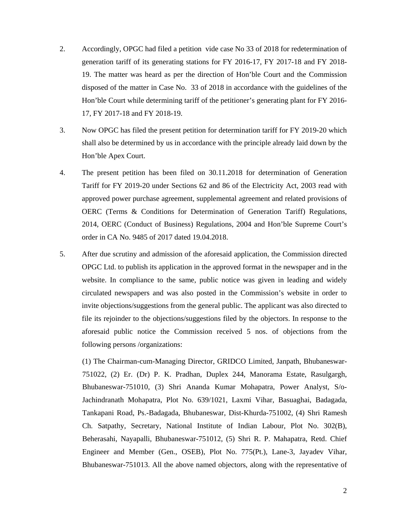- 2. Accordingly, OPGC had filed a petition vide case No 33 of 2018 for redetermination of generation tariff of its generating stations for FY 2016-17, FY 2017-18 and FY 2018- 19. The matter was heard as per the direction of Hon'ble Court and the Commission disposed of the matter in Case No. 33 of 2018 in accordance with the guidelines of the Hon'ble Court while determining tariff of the petitioner's generating plant for FY 2016- 17, FY 2017-18 and FY 2018-19.
- 3. Now OPGC has filed the present petition for determination tariff for FY 2019-20 which shall also be determined by us in accordance with the principle already laid down by the Hon'ble Apex Court.
- 4. The present petition has been filed on 30.11.2018 for determination of Generation Tariff for FY 2019-20 under Sections 62 and 86 of the Electricity Act, 2003 read with approved power purchase agreement, supplemental agreement and related provisions of OERC (Terms & Conditions for Determination of Generation Tariff) Regulations, 2014, OERC (Conduct of Business) Regulations, 2004 and Hon'ble Supreme Court's order in CA No. 9485 of 2017 dated 19.04.2018.
- 5. After due scrutiny and admission of the aforesaid application, the Commission directed OPGC Ltd. to publish its application in the approved format in the newspaper and in the website. In compliance to the same, public notice was given in leading and widely circulated newspapers and was also posted in the Commission's website in order to invite objections/suggestions from the general public. The applicant was also directed to file its rejoinder to the objections/suggestions filed by the objectors. In response to the aforesaid public notice the Commission received 5 nos. of objections from the following persons /organizations:

(1) The Chairman-cum-Managing Director, GRIDCO Limited, Janpath, Bhubaneswar-751022, (2) Er. (Dr) P. K. Pradhan, Duplex 244, Manorama Estate, Rasulgargh, Bhubaneswar-751010, (3) Shri Ananda Kumar Mohapatra, Power Analyst, S/o-Jachindranath Mohapatra, Plot No. 639/1021, Laxmi Vihar, Basuaghai, Badagada, Tankapani Road, Ps.-Badagada, Bhubaneswar, Dist-Khurda-751002, (4) Shri Ramesh Ch. Satpathy, Secretary, National Institute of Indian Labour, Plot No. 302(B), Beherasahi, Nayapalli, Bhubaneswar-751012, (5) Shri R. P. Mahapatra, Retd. Chief Engineer and Member (Gen., OSEB), Plot No. 775(Pt.), Lane-3, Jayadev Vihar, Bhubaneswar-751013. All the above named objectors, along with the representative of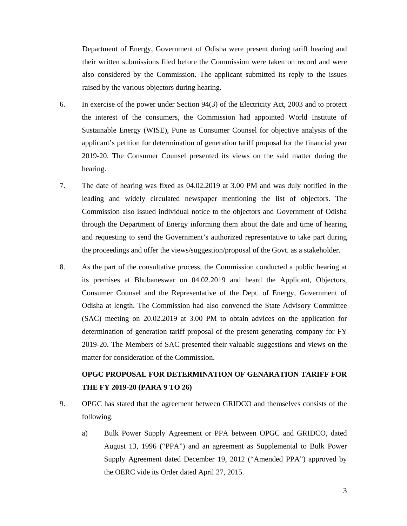Department of Energy, Government of Odisha were present during tariff hearing and their written submissions filed before the Commission were taken on record and were also considered by the Commission. The applicant submitted its reply to the issues raised by the various objectors during hearing.

- 6. In exercise of the power under Section 94(3) of the Electricity Act, 2003 and to protect the interest of the consumers, the Commission had appointed World Institute of Sustainable Energy (WISE), Pune as Consumer Counsel for objective analysis of the applicant's petition for determination of generation tariff proposal for the financial year 2019-20. The Consumer Counsel presented its views on the said matter during the hearing.
- 7. The date of hearing was fixed as 04.02.2019 at 3.00 PM and was duly notified in the leading and widely circulated newspaper mentioning the list of objectors. The Commission also issued individual notice to the objectors and Government of Odisha through the Department of Energy informing them about the date and time of hearing and requesting to send the Government's authorized representative to take part during the proceedings and offer the views/suggestion/proposal of the Govt. as a stakeholder.
- 8. As the part of the consultative process, the Commission conducted a public hearing at its premises at Bhubaneswar on 04.02.2019 and heard the Applicant, Objectors, Consumer Counsel and the Representative of the Dept. of Energy, Government of Odisha at length. The Commission had also convened the State Advisory Committee (SAC) meeting on 20.02.2019 at 3.00 PM to obtain advices on the application for determination of generation tariff proposal of the present generating company for FY 2019-20. The Members of SAC presented their valuable suggestions and views on the matter for consideration of the Commission.

# **OPGC PROPOSAL FOR DETERMINATION OF GENARATION TARIFF FOR THE FY 2019-20 (PARA 9 TO 26)**

- 9. OPGC has stated that the agreement between GRIDCO and themselves consists of the following.
	- a) Bulk Power Supply Agreement or PPA between OPGC and GRIDCO, dated August 13, 1996 ("PPA") and an agreement as Supplemental to Bulk Power Supply Agreement dated December 19, 2012 ("Amended PPA") approved by the OERC vide its Order dated April 27, 2015.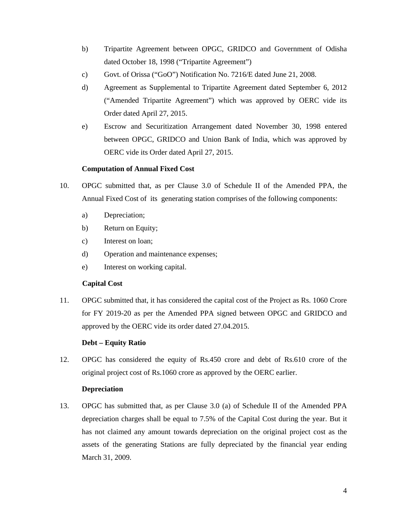- b) Tripartite Agreement between OPGC, GRIDCO and Government of Odisha dated October 18, 1998 ("Tripartite Agreement")
- c) Govt. of Orissa ("GoO") Notification No. 7216/E dated June 21, 2008.
- d) Agreement as Supplemental to Tripartite Agreement dated September 6, 2012 ("Amended Tripartite Agreement") which was approved by OERC vide its Order dated April 27, 2015.
- e) Escrow and Securitization Arrangement dated November 30, 1998 entered between OPGC, GRIDCO and Union Bank of India, which was approved by OERC vide its Order dated April 27, 2015.

# **Computation of Annual Fixed Cost**

- 10. OPGC submitted that, as per Clause 3.0 of Schedule II of the Amended PPA, the Annual Fixed Cost of its generating station comprises of the following components:
	- a) Depreciation;
	- b) Return on Equity;
	- c) Interest on loan;
	- d) Operation and maintenance expenses;
	- e) Interest on working capital.

# **Capital Cost**

11. OPGC submitted that, it has considered the capital cost of the Project as Rs. 1060 Crore for FY 2019-20 as per the Amended PPA signed between OPGC and GRIDCO and approved by the OERC vide its order dated 27.04.2015.

# **Debt – Equity Ratio**

12. OPGC has considered the equity of Rs.450 crore and debt of Rs.610 crore of the original project cost of Rs.1060 crore as approved by the OERC earlier.

# **Depreciation**

13. OPGC has submitted that, as per Clause 3.0 (a) of Schedule II of the Amended PPA depreciation charges shall be equal to 7.5% of the Capital Cost during the year. But it has not claimed any amount towards depreciation on the original project cost as the assets of the generating Stations are fully depreciated by the financial year ending March 31, 2009.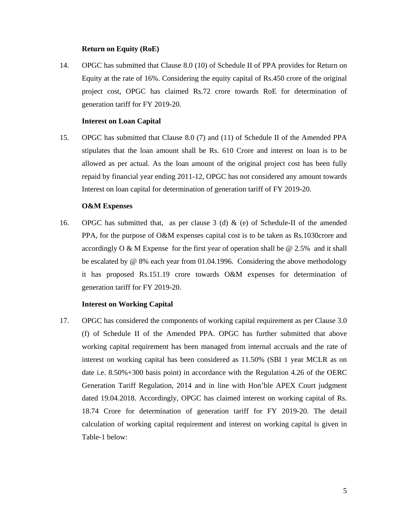## **Return on Equity (RoE)**

14. OPGC has submitted that Clause 8.0 (10) of Schedule II of PPA provides for Return on Equity at the rate of 16%. Considering the equity capital of Rs.450 crore of the original project cost, OPGC has claimed Rs.72 crore towards RoE for determination of generation tariff for FY 2019-20.

## **Interest on Loan Capital**

15. OPGC has submitted that Clause 8.0 (7) and (11) of Schedule II of the Amended PPA stipulates that the loan amount shall be Rs. 610 Crore and interest on loan is to be allowed as per actual. As the loan amount of the original project cost has been fully repaid by financial year ending 2011-12, OPGC has not considered any amount towards Interest on loan capital for determination of generation tariff of FY 2019-20.

#### **O&M Expenses**

16. OPGC has submitted that, as per clause 3 (d) & (e) of Schedule-II of the amended PPA, for the purpose of O&M expenses capital cost is to be taken as Rs.1030crore and accordingly O & M Expense for the first year of operation shall be @ 2.5% and it shall be escalated by @ 8% each year from 01.04.1996. Considering the above methodology it has proposed Rs.151.19 crore towards O&M expenses for determination of generation tariff for FY 2019-20.

# **Interest on Working Capital**

17. OPGC has considered the components of working capital requirement as per Clause 3.0 (f) of Schedule II of the Amended PPA. OPGC has further submitted that above working capital requirement has been managed from internal accruals and the rate of interest on working capital has been considered as 11.50% (SBI 1 year MCLR as on date i.e. 8.50%+300 basis point) in accordance with the Regulation 4.26 of the OERC Generation Tariff Regulation, 2014 and in line with Hon'ble APEX Court judgment dated 19.04.2018. Accordingly, OPGC has claimed interest on working capital of Rs. 18.74 Crore for determination of generation tariff for FY 2019-20. The detail calculation of working capital requirement and interest on working capital is given in Table-1 below: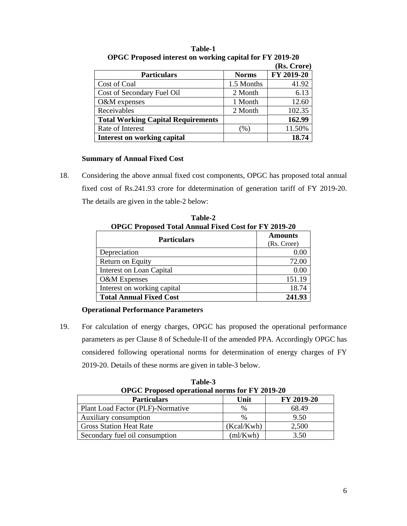|                                           |              | (Rs. Crore) |
|-------------------------------------------|--------------|-------------|
| <b>Particulars</b>                        | <b>Norms</b> | FY 2019-20  |
| Cost of Coal                              | 1.5 Months   | 41.92       |
| Cost of Secondary Fuel Oil                | 2 Month      | 6.13        |
| O&M expenses                              | 1 Month      | 12.60       |
| Receivables                               | 2 Month      | 102.35      |
| <b>Total Working Capital Requirements</b> |              | 162.99      |
| Rate of Interest                          | $(\%)$       | 11.50%      |
| <b>Interest on working capital</b>        |              | 18.74       |

**Table-1 OPGC Proposed interest on working capital for FY 2019-20** 

# **Summary of Annual Fixed Cost**

18. Considering the above annual fixed cost components, OPGC has proposed total annual fixed cost of Rs.241.93 crore for ddetermination of generation tariff of FY 2019-20. The details are given in the table-2 below:

| OPGC Proposed Total Annual Fixed Cost for FY 2019-20 |                               |  |
|------------------------------------------------------|-------------------------------|--|
| <b>Particulars</b>                                   | <b>Amounts</b><br>(Rs. Crore) |  |
| Depreciation                                         | 0.00                          |  |
| Return on Equity                                     | 72.00                         |  |
| Interest on Loan Capital                             | 0.00                          |  |
| O&M Expenses                                         | 151.19                        |  |
| Interest on working capital                          | 18.74                         |  |
| <b>Total Annual Fixed Cost</b>                       | 241.93                        |  |

**Table-2 OPGC Proposed Total Annual Fixed Cost for FV 2010-20** 

# **Operational Performance Parameters**

19. For calculation of energy charges, OPGC has proposed the operational performance parameters as per Clause 8 of Schedule-II of the amended PPA. Accordingly OPGC has considered following operational norms for determination of energy charges of FY 2019-20. Details of these norms are given in table-3 below.

| <b>OPGC Proposed operational norms for FY 2019-20</b> |            |            |  |
|-------------------------------------------------------|------------|------------|--|
| <b>Particulars</b>                                    | Unit       | FY 2019-20 |  |
| Plant Load Factor (PLF)-Normative                     | %          | 68.49      |  |
| Auxiliary consumption                                 | $\%$       | 9.50       |  |
| <b>Gross Station Heat Rate</b>                        | (Kcal/Kwh) | 2,500      |  |
| Secondary fuel oil consumption                        | m/Kwh      | 3.50       |  |

**Table-3**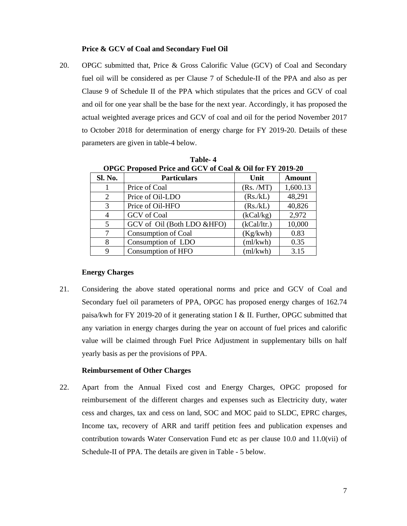### **Price & GCV of Coal and Secondary Fuel Oil**

20. OPGC submitted that, Price & Gross Calorific Value (GCV) of Coal and Secondary fuel oil will be considered as per Clause 7 of Schedule-II of the PPA and also as per Clause 9 of Schedule II of the PPA which stipulates that the prices and GCV of coal and oil for one year shall be the base for the next year. Accordingly, it has proposed the actual weighted average prices and GCV of coal and oil for the period November 2017 to October 2018 for determination of energy charge for FY 2019-20. Details of these parameters are given in table-4 below.

| OPGC Proposed Price and GCV of Coal & Oil for FY 2019-20 |                            |             |               |
|----------------------------------------------------------|----------------------------|-------------|---------------|
| Sl. No.                                                  | <b>Particulars</b>         | Unit        | <b>Amount</b> |
|                                                          | Price of Coal              | (Rs. /MT)   | 1,600.13      |
| 2                                                        | Price of Oil-LDO           | (Rs/kL)     | 48,291        |
| 3                                                        | Price of Oil-HFO           | (Rs/kL)     | 40,826        |
| 4                                                        | <b>GCV</b> of Coal         | (kCal/kg)   | 2,972         |
| 5                                                        | GCV of Oil (Both LDO &HFO) | (kCal/ltr.) | 10,000        |
|                                                          | Consumption of Coal        | (Kg/kwh)    | 0.83          |
| 8                                                        | Consumption of LDO         | (ml/kwh)    | 0.35          |
| 9                                                        | Consumption of HFO         | (ml/kwh)    | 3.15          |

**Table- 4 OPGC Proposed Price and GCV of Coal & Oil for FY 2019-20**

# **Energy Charges**

21. Considering the above stated operational norms and price and GCV of Coal and Secondary fuel oil parameters of PPA, OPGC has proposed energy charges of 162.74 paisa/kwh for FY 2019-20 of it generating station I & II. Further, OPGC submitted that any variation in energy charges during the year on account of fuel prices and calorific value will be claimed through Fuel Price Adjustment in supplementary bills on half yearly basis as per the provisions of PPA.

# **Reimbursement of Other Charges**

22. Apart from the Annual Fixed cost and Energy Charges, OPGC proposed for reimbursement of the different charges and expenses such as Electricity duty, water cess and charges, tax and cess on land, SOC and MOC paid to SLDC, EPRC charges, Income tax, recovery of ARR and tariff petition fees and publication expenses and contribution towards Water Conservation Fund etc as per clause 10.0 and 11.0(vii) of Schedule-II of PPA. The details are given in Table - 5 below.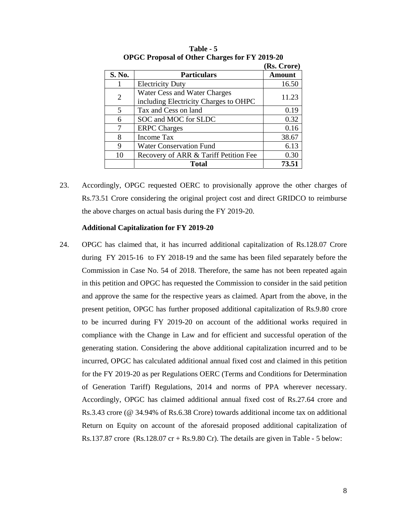|                |                                                                       | (Rs. Crore) |
|----------------|-----------------------------------------------------------------------|-------------|
| S. No.         | <b>Particulars</b>                                                    | Amount      |
|                | <b>Electricity Duty</b>                                               | 16.50       |
| $\overline{2}$ | Water Cess and Water Charges<br>including Electricity Charges to OHPC | 11.23       |
| 5              | Tax and Cess on land                                                  | 0.19        |
| 6              | SOC and MOC for SLDC                                                  | 0.32        |
|                | <b>ERPC</b> Charges                                                   | 0.16        |
| 8              | <b>Income Tax</b>                                                     | 38.67       |
| 9              | <b>Water Conservation Fund</b>                                        | 6.13        |
| 10             | Recovery of ARR & Tariff Petition Fee                                 | 0.30        |
|                | <b>Total</b>                                                          | 73.51       |

**Table - 5 OPGC Proposal of Other Charges for FY 2019-20** 

23. Accordingly, OPGC requested OERC to provisionally approve the other charges of Rs.73.51 Crore considering the original project cost and direct GRIDCO to reimburse the above charges on actual basis during the FY 2019-20.

#### **Additional Capitalization for FY 2019-20**

24. OPGC has claimed that, it has incurred additional capitalization of Rs.128.07 Crore during FY 2015-16 to FY 2018-19 and the same has been filed separately before the Commission in Case No. 54 of 2018. Therefore, the same has not been repeated again in this petition and OPGC has requested the Commission to consider in the said petition and approve the same for the respective years as claimed. Apart from the above, in the present petition, OPGC has further proposed additional capitalization of Rs.9.80 crore to be incurred during FY 2019-20 on account of the additional works required in compliance with the Change in Law and for efficient and successful operation of the generating station. Considering the above additional capitalization incurred and to be incurred, OPGC has calculated additional annual fixed cost and claimed in this petition for the FY 2019-20 as per Regulations OERC (Terms and Conditions for Determination of Generation Tariff) Regulations, 2014 and norms of PPA wherever necessary. Accordingly, OPGC has claimed additional annual fixed cost of Rs.27.64 crore and Rs.3.43 crore (@ 34.94% of Rs.6.38 Crore) towards additional income tax on additional Return on Equity on account of the aforesaid proposed additional capitalization of Rs.137.87 crore  $(Rs.128.07 \text{ cr} + Rs.9.80 \text{ Cr})$ . The details are given in Table - 5 below: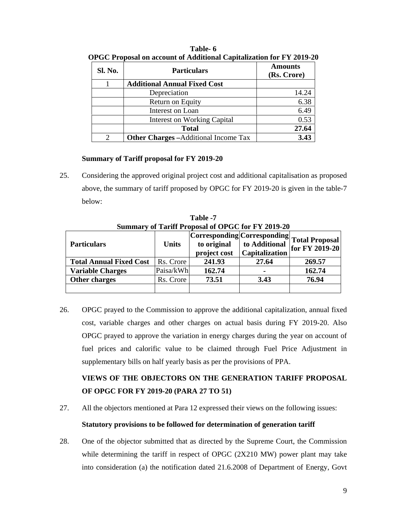| Sl. No.       | <b>Particulars</b>                           | <b>Amounts</b><br>(Rs. Crore) |
|---------------|----------------------------------------------|-------------------------------|
|               | <b>Additional Annual Fixed Cost</b>          |                               |
|               | Depreciation                                 | 14.24                         |
|               | Return on Equity                             | 6.38                          |
|               | Interest on Loan                             | 6.49                          |
|               | <b>Interest on Working Capital</b>           | 0.53                          |
|               | <b>Total</b>                                 | 27.64                         |
| $\mathcal{D}$ | <b>Other Charges</b> – Additional Income Tax | 3.43                          |

**Table- 6 OPGC Proposal on account of Additional Capitalization for FY 2019-20** 

# **Summary of Tariff proposal for FY 2019-20**

25. Considering the approved original project cost and additional capitalisation as proposed above, the summary of tariff proposed by OPGC for FY 2019-20 is given in the table-7 below:

|                                |              | $\beta$ ummal v of Tarmi i rojosal of OTGC for FT $2013 - 20$ |                                 |                                                              |
|--------------------------------|--------------|---------------------------------------------------------------|---------------------------------|--------------------------------------------------------------|
| <b>Particulars</b>             | <b>Units</b> | to original<br>project cost                                   | to Additional<br>Capitalization | Corresponding Corresponding Total Proposal<br>for FY 2019-20 |
| <b>Total Annual Fixed Cost</b> | Rs. Crore    | 241.93                                                        | 27.64                           | 269.57                                                       |
| <b>Variable Charges</b>        | Paisa/kWh    | 162.74                                                        |                                 | 162.74                                                       |
| Other charges                  | Rs. Crore    | 73.51                                                         | 3.43                            | 76.94                                                        |
|                                |              |                                                               |                                 |                                                              |

**Table -7 Summary of Tariff Proposal of OPGC for FY 2019-20** 

26. OPGC prayed to the Commission to approve the additional capitalization, annual fixed cost, variable charges and other charges on actual basis during FY 2019-20. Also OPGC prayed to approve the variation in energy charges during the year on account of fuel prices and calorific value to be claimed through Fuel Price Adjustment in supplementary bills on half yearly basis as per the provisions of PPA.

# **VIEWS OF THE OBJECTORS ON THE GENERATION TARIFF PROPOSAL OF OPGC FOR FY 2019-20 (PARA 27 TO 51)**

27. All the objectors mentioned at Para 12 expressed their views on the following issues:

# **Statutory provisions to be followed for determination of generation tariff**

28. One of the objector submitted that as directed by the Supreme Court, the Commission while determining the tariff in respect of OPGC (2X210 MW) power plant may take into consideration (a) the notification dated 21.6.2008 of Department of Energy, Govt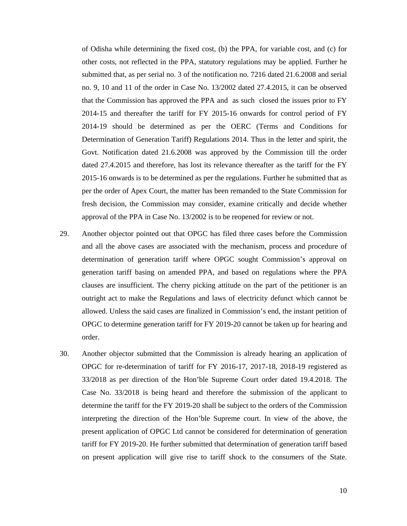of Odisha while determining the fixed cost, (b) the PPA, for variable cost, and (c) for other costs, not reflected in the PPA, statutory regulations may be applied. Further he submitted that, as per serial no. 3 of the notification no. 7216 dated 21.6.2008 and serial no. 9, 10 and 11 of the order in Case No. 13/2002 dated 27.4.2015, it can be observed that the Commission has approved the PPA and as such closed the issues prior to FY 2014-15 and thereafter the tariff for FY 2015-16 onwards for control period of FY 2014-19 should be determined as per the OERC (Terms and Conditions for Determination of Generation Tariff) Regulations 2014. Thus in the letter and spirit, the Govt. Notification dated 21.6.2008 was approved by the Commission till the order dated 27.4.2015 and therefore, has lost its relevance thereafter as the tariff for the FY 2015-16 onwards is to be determined as per the regulations. Further he submitted that as per the order of Apex Court, the matter has been remanded to the State Commission for fresh decision, the Commission may consider, examine critically and decide whether approval of the PPA in Case No. 13/2002 is to be reopened for review or not.

- 29. Another objector pointed out that OPGC has filed three cases before the Commission and all the above cases are associated with the mechanism, process and procedure of determination of generation tariff where OPGC sought Commission's approval on generation tariff basing on amended PPA, and based on regulations where the PPA clauses are insufficient. The cherry picking attitude on the part of the petitioner is an outright act to make the Regulations and laws of electricity defunct which cannot be allowed. Unless the said cases are finalized in Commission's end, the instant petition of OPGC to determine generation tariff for FY 2019-20 cannot be taken up for hearing and order.
- 30. Another objector submitted that the Commission is already hearing an application of OPGC for re-determination of tariff for FY 2016-17, 2017-18, 2018-19 registered as 33/2018 as per direction of the Hon'ble Supreme Court order dated 19.4.2018. The Case No. 33/2018 is being heard and therefore the submission of the applicant to determine the tariff for the FY 2019-20 shall be subject to the orders of the Commission interpreting the direction of the Hon'ble Supreme court. In view of the above, the present application of OPGC Ltd cannot be considered for determination of generation tariff for FY 2019-20. He further submitted that determination of generation tariff based on present application will give rise to tariff shock to the consumers of the State.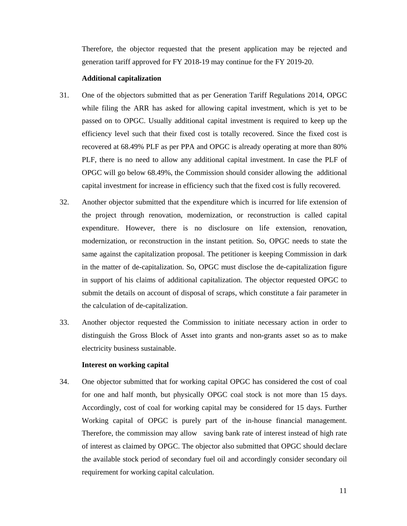Therefore, the objector requested that the present application may be rejected and generation tariff approved for FY 2018-19 may continue for the FY 2019-20.

# **Additional capitalization**

- 31. One of the objectors submitted that as per Generation Tariff Regulations 2014, OPGC while filing the ARR has asked for allowing capital investment, which is yet to be passed on to OPGC. Usually additional capital investment is required to keep up the efficiency level such that their fixed cost is totally recovered. Since the fixed cost is recovered at 68.49% PLF as per PPA and OPGC is already operating at more than 80% PLF, there is no need to allow any additional capital investment. In case the PLF of OPGC will go below 68.49%, the Commission should consider allowing the additional capital investment for increase in efficiency such that the fixed cost is fully recovered.
- 32. Another objector submitted that the expenditure which is incurred for life extension of the project through renovation, modernization, or reconstruction is called capital expenditure. However, there is no disclosure on life extension, renovation, modernization, or reconstruction in the instant petition. So, OPGC needs to state the same against the capitalization proposal. The petitioner is keeping Commission in dark in the matter of de-capitalization. So, OPGC must disclose the de-capitalization figure in support of his claims of additional capitalization. The objector requested OPGC to submit the details on account of disposal of scraps, which constitute a fair parameter in the calculation of de-capitalization.
- 33. Another objector requested the Commission to initiate necessary action in order to distinguish the Gross Block of Asset into grants and non-grants asset so as to make electricity business sustainable.

# **Interest on working capital**

34. One objector submitted that for working capital OPGC has considered the cost of coal for one and half month, but physically OPGC coal stock is not more than 15 days. Accordingly, cost of coal for working capital may be considered for 15 days. Further Working capital of OPGC is purely part of the in-house financial management. Therefore, the commission may allow saving bank rate of interest instead of high rate of interest as claimed by OPGC. The objector also submitted that OPGC should declare the available stock period of secondary fuel oil and accordingly consider secondary oil requirement for working capital calculation.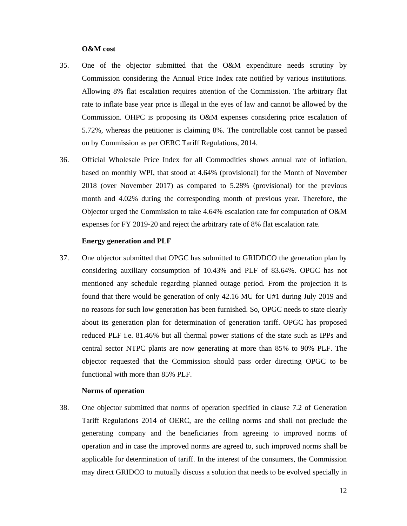## **O&M cost**

- 35. One of the objector submitted that the O&M expenditure needs scrutiny by Commission considering the Annual Price Index rate notified by various institutions. Allowing 8% flat escalation requires attention of the Commission. The arbitrary flat rate to inflate base year price is illegal in the eyes of law and cannot be allowed by the Commission. OHPC is proposing its O&M expenses considering price escalation of 5.72%, whereas the petitioner is claiming 8%. The controllable cost cannot be passed on by Commission as per OERC Tariff Regulations, 2014.
- 36. Official Wholesale Price Index for all Commodities shows annual rate of inflation, based on monthly WPI, that stood at 4.64% (provisional) for the Month of November 2018 (over November 2017) as compared to 5.28% (provisional) for the previous month and 4.02% during the corresponding month of previous year. Therefore, the Objector urged the Commission to take 4.64% escalation rate for computation of O&M expenses for FY 2019-20 and reject the arbitrary rate of 8% flat escalation rate.

# **Energy generation and PLF**

37. One objector submitted that OPGC has submitted to GRIDDCO the generation plan by considering auxiliary consumption of 10.43% and PLF of 83.64%. OPGC has not mentioned any schedule regarding planned outage period. From the projection it is found that there would be generation of only 42.16 MU for U#1 during July 2019 and no reasons for such low generation has been furnished. So, OPGC needs to state clearly about its generation plan for determination of generation tariff. OPGC has proposed reduced PLF i.e. 81.46% but all thermal power stations of the state such as IPPs and central sector NTPC plants are now generating at more than 85% to 90% PLF. The objector requested that the Commission should pass order directing OPGC to be functional with more than 85% PLF.

# **Norms of operation**

38. One objector submitted that norms of operation specified in clause 7.2 of Generation Tariff Regulations 2014 of OERC, are the ceiling norms and shall not preclude the generating company and the beneficiaries from agreeing to improved norms of operation and in case the improved norms are agreed to, such improved norms shall be applicable for determination of tariff. In the interest of the consumers, the Commission may direct GRIDCO to mutually discuss a solution that needs to be evolved specially in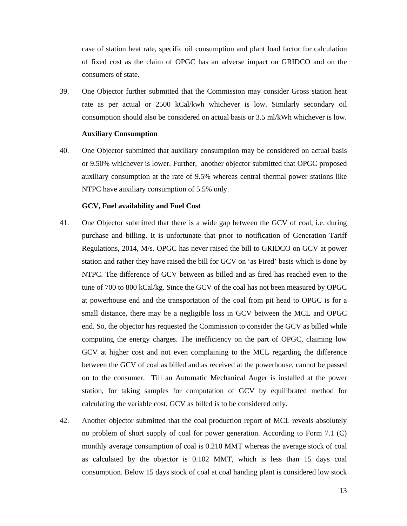case of station heat rate, specific oil consumption and plant load factor for calculation of fixed cost as the claim of OPGC has an adverse impact on GRIDCO and on the consumers of state.

39. One Objector further submitted that the Commission may consider Gross station heat rate as per actual or 2500 kCal/kwh whichever is low. Similarly secondary oil consumption should also be considered on actual basis or 3.5 ml/kWh whichever is low.

#### **Auxiliary Consumption**

40. One Objector submitted that auxiliary consumption may be considered on actual basis or 9.50% whichever is lower. Further, another objector submitted that OPGC proposed auxiliary consumption at the rate of 9.5% whereas central thermal power stations like NTPC have auxiliary consumption of 5.5% only.

#### **GCV, Fuel availability and Fuel Cost**

- 41. One Objector submitted that there is a wide gap between the GCV of coal, i.e. during purchase and billing. It is unfortunate that prior to notification of Generation Tariff Regulations, 2014, M/s. OPGC has never raised the bill to GRIDCO on GCV at power station and rather they have raised the bill for GCV on 'as Fired' basis which is done by NTPC. The difference of GCV between as billed and as fired has reached even to the tune of 700 to 800 kCal/kg. Since the GCV of the coal has not been measured by OPGC at powerhouse end and the transportation of the coal from pit head to OPGC is for a small distance, there may be a negligible loss in GCV between the MCL and OPGC end. So, the objector has requested the Commission to consider the GCV as billed while computing the energy charges. The inefficiency on the part of OPGC, claiming low GCV at higher cost and not even complaining to the MCL regarding the difference between the GCV of coal as billed and as received at the powerhouse, cannot be passed on to the consumer. Till an Automatic Mechanical Auger is installed at the power station, for taking samples for computation of GCV by equilibrated method for calculating the variable cost, GCV as billed is to be considered only.
- 42. Another objector submitted that the coal production report of MCL reveals absolutely no problem of short supply of coal for power generation. According to Form 7.1 (C) monthly average consumption of coal is 0.210 MMT whereas the average stock of coal as calculated by the objector is 0.102 MMT, which is less than 15 days coal consumption. Below 15 days stock of coal at coal handing plant is considered low stock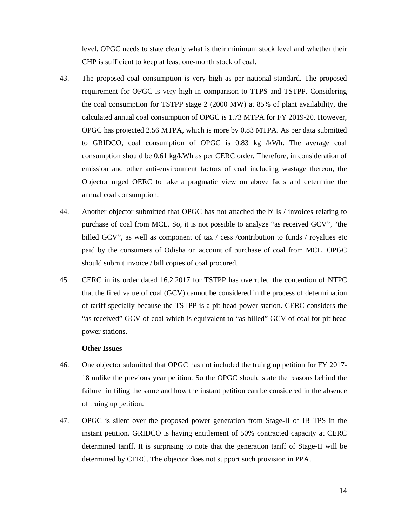level. OPGC needs to state clearly what is their minimum stock level and whether their CHP is sufficient to keep at least one-month stock of coal.

- 43. The proposed coal consumption is very high as per national standard. The proposed requirement for OPGC is very high in comparison to TTPS and TSTPP. Considering the coal consumption for TSTPP stage 2 (2000 MW) at 85% of plant availability, the calculated annual coal consumption of OPGC is 1.73 MTPA for FY 2019-20. However, OPGC has projected 2.56 MTPA, which is more by 0.83 MTPA. As per data submitted to GRIDCO, coal consumption of OPGC is 0.83 kg /kWh. The average coal consumption should be 0.61 kg/kWh as per CERC order. Therefore, in consideration of emission and other anti-environment factors of coal including wastage thereon, the Objector urged OERC to take a pragmatic view on above facts and determine the annual coal consumption.
- 44. Another objector submitted that OPGC has not attached the bills / invoices relating to purchase of coal from MCL. So, it is not possible to analyze "as received GCV", "the billed GCV", as well as component of tax / cess / contribution to funds / royalties etc paid by the consumers of Odisha on account of purchase of coal from MCL. OPGC should submit invoice / bill copies of coal procured.
- 45. CERC in its order dated 16.2.2017 for TSTPP has overruled the contention of NTPC that the fired value of coal (GCV) cannot be considered in the process of determination of tariff specially because the TSTPP is a pit head power station. CERC considers the "as received" GCV of coal which is equivalent to "as billed" GCV of coal for pit head power stations.

#### **Other Issues**

- 46. One objector submitted that OPGC has not included the truing up petition for FY 2017- 18 unlike the previous year petition. So the OPGC should state the reasons behind the failure in filing the same and how the instant petition can be considered in the absence of truing up petition.
- 47. OPGC is silent over the proposed power generation from Stage-II of IB TPS in the instant petition. GRIDCO is having entitlement of 50% contracted capacity at CERC determined tariff. It is surprising to note that the generation tariff of Stage-II will be determined by CERC. The objector does not support such provision in PPA.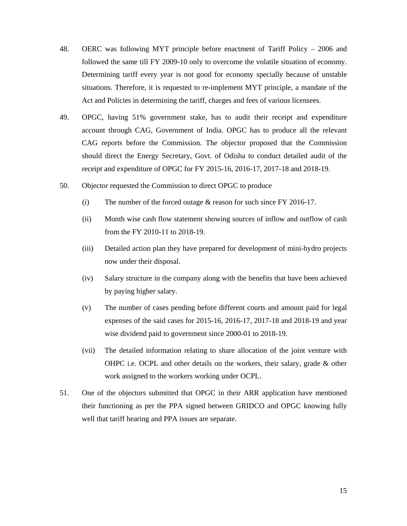- 48. OERC was following MYT principle before enactment of Tariff Policy 2006 and followed the same till FY 2009-10 only to overcome the volatile situation of economy. Determining tariff every year is not good for economy specially because of unstable situations. Therefore, it is requested to re-implement MYT principle, a mandate of the Act and Policies in determining the tariff, charges and fees of various licensees.
- 49. OPGC, having 51% government stake, has to audit their receipt and expenditure account through CAG, Government of India. OPGC has to produce all the relevant CAG reports before the Commission. The objector proposed that the Commission should direct the Energy Secretary, Govt. of Odisha to conduct detailed audit of the receipt and expenditure of OPGC for FY 2015-16, 2016-17, 2017-18 and 2018-19.
- 50. Objector requested the Commission to direct OPGC to produce
	- (i) The number of the forced outage & reason for such since FY 2016-17.
	- (ii) Month wise cash flow statement showing sources of inflow and outflow of cash from the FY 2010-11 to 2018-19.
	- (iii) Detailed action plan they have prepared for development of mini-hydro projects now under their disposal.
	- (iv) Salary structure in the company along with the benefits that have been achieved by paying higher salary.
	- (v) The number of cases pending before different courts and amount paid for legal expenses of the said cases for 2015-16, 2016-17, 2017-18 and 2018-19 and year wise dividend paid to government since 2000-01 to 2018-19.
	- (vii) The detailed information relating to share allocation of the joint venture with OHPC i.e. OCPL and other details on the workers, their salary, grade & other work assigned to the workers working under OCPL.
- 51. One of the objectors submitted that OPGC in their ARR application have mentioned their functioning as per the PPA signed between GRIDCO and OPGC knowing fully well that tariff hearing and PPA issues are separate.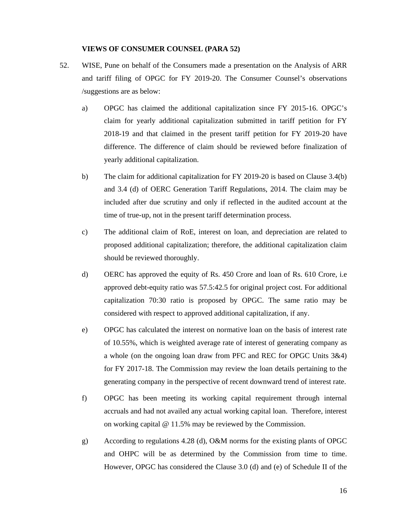#### **VIEWS OF CONSUMER COUNSEL (PARA 52)**

- 52. WISE, Pune on behalf of the Consumers made a presentation on the Analysis of ARR and tariff filing of OPGC for FY 2019-20. The Consumer Counsel's observations /suggestions are as below:
	- a) OPGC has claimed the additional capitalization since FY 2015-16. OPGC's claim for yearly additional capitalization submitted in tariff petition for FY 2018-19 and that claimed in the present tariff petition for FY 2019-20 have difference. The difference of claim should be reviewed before finalization of yearly additional capitalization.
	- b) The claim for additional capitalization for FY 2019-20 is based on Clause 3.4(b) and 3.4 (d) of OERC Generation Tariff Regulations, 2014. The claim may be included after due scrutiny and only if reflected in the audited account at the time of true-up, not in the present tariff determination process.
	- c) The additional claim of RoE, interest on loan, and depreciation are related to proposed additional capitalization; therefore, the additional capitalization claim should be reviewed thoroughly.
	- d) OERC has approved the equity of Rs. 450 Crore and loan of Rs. 610 Crore, i.e approved debt-equity ratio was 57.5:42.5 for original project cost. For additional capitalization 70:30 ratio is proposed by OPGC. The same ratio may be considered with respect to approved additional capitalization, if any.
	- e) OPGC has calculated the interest on normative loan on the basis of interest rate of 10.55%, which is weighted average rate of interest of generating company as a whole (on the ongoing loan draw from PFC and REC for OPGC Units 3&4) for FY 2017-18. The Commission may review the loan details pertaining to the generating company in the perspective of recent downward trend of interest rate.
	- f) OPGC has been meeting its working capital requirement through internal accruals and had not availed any actual working capital loan. Therefore, interest on working capital @ 11.5% may be reviewed by the Commission.
	- g) According to regulations 4.28 (d), O&M norms for the existing plants of OPGC and OHPC will be as determined by the Commission from time to time. However, OPGC has considered the Clause 3.0 (d) and (e) of Schedule II of the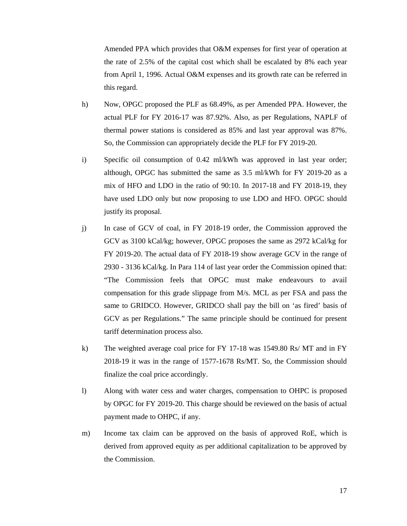Amended PPA which provides that O&M expenses for first year of operation at the rate of 2.5% of the capital cost which shall be escalated by 8% each year from April 1, 1996. Actual O&M expenses and its growth rate can be referred in this regard.

- h) Now, OPGC proposed the PLF as 68.49%, as per Amended PPA. However, the actual PLF for FY 2016-17 was 87.92%. Also, as per Regulations, NAPLF of thermal power stations is considered as 85% and last year approval was 87%. So, the Commission can appropriately decide the PLF for FY 2019-20.
- i) Specific oil consumption of 0.42 ml/kWh was approved in last year order; although, OPGC has submitted the same as  $3.5 \text{ ml/kWh}$  for FY 2019-20 as a mix of HFO and LDO in the ratio of 90:10. In 2017-18 and FY 2018-19, they have used LDO only but now proposing to use LDO and HFO. OPGC should justify its proposal.
- j) In case of GCV of coal, in FY 2018-19 order, the Commission approved the GCV as 3100 kCal/kg; however, OPGC proposes the same as 2972 kCal/kg for FY 2019-20. The actual data of FY 2018-19 show average GCV in the range of 2930 - 3136 kCal/kg. In Para 114 of last year order the Commission opined that: "The Commission feels that OPGC must make endeavours to avail compensation for this grade slippage from M/s. MCL as per FSA and pass the same to GRIDCO. However, GRIDCO shall pay the bill on 'as fired' basis of GCV as per Regulations." The same principle should be continued for present tariff determination process also.
- k) The weighted average coal price for FY 17-18 was 1549.80 Rs/ MT and in FY 2018-19 it was in the range of 1577-1678 Rs/MT. So, the Commission should finalize the coal price accordingly.
- l) Along with water cess and water charges, compensation to OHPC is proposed by OPGC for FY 2019-20. This charge should be reviewed on the basis of actual payment made to OHPC, if any.
- m) Income tax claim can be approved on the basis of approved RoE, which is derived from approved equity as per additional capitalization to be approved by the Commission.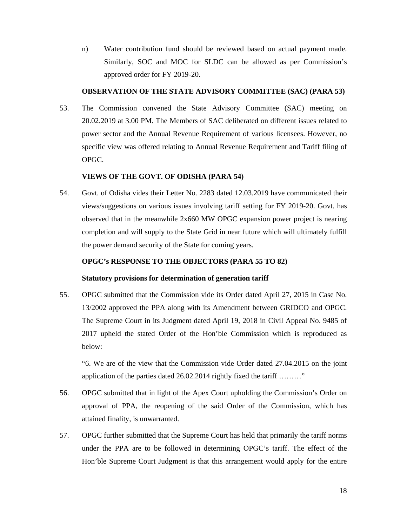n) Water contribution fund should be reviewed based on actual payment made. Similarly, SOC and MOC for SLDC can be allowed as per Commission's approved order for FY 2019-20.

# **OBSERVATION OF THE STATE ADVISORY COMMITTEE (SAC) (PARA 53)**

53. The Commission convened the State Advisory Committee (SAC) meeting on 20.02.2019 at 3.00 PM. The Members of SAC deliberated on different issues related to power sector and the Annual Revenue Requirement of various licensees. However, no specific view was offered relating to Annual Revenue Requirement and Tariff filing of OPGC.

# **VIEWS OF THE GOVT. OF ODISHA (PARA 54)**

54. Govt. of Odisha vides their Letter No. 2283 dated 12.03.2019 have communicated their views/suggestions on various issues involving tariff setting for FY 2019-20. Govt. has observed that in the meanwhile 2x660 MW OPGC expansion power project is nearing completion and will supply to the State Grid in near future which will ultimately fulfill the power demand security of the State for coming years.

# **OPGC's RESPONSE TO THE OBJECTORS (PARA 55 TO 82)**

# **Statutory provisions for determination of generation tariff**

55. OPGC submitted that the Commission vide its Order dated April 27, 2015 in Case No. 13/2002 approved the PPA along with its Amendment between GRIDCO and OPGC. The Supreme Court in its Judgment dated April 19, 2018 in Civil Appeal No. 9485 of 2017 upheld the stated Order of the Hon'ble Commission which is reproduced as below:

"6. We are of the view that the Commission vide Order dated 27.04.2015 on the joint application of the parties dated 26.02.2014 rightly fixed the tariff ........."

- 56. OPGC submitted that in light of the Apex Court upholding the Commission's Order on approval of PPA, the reopening of the said Order of the Commission, which has attained finality, is unwarranted.
- 57. OPGC further submitted that the Supreme Court has held that primarily the tariff norms under the PPA are to be followed in determining OPGC's tariff. The effect of the Hon'ble Supreme Court Judgment is that this arrangement would apply for the entire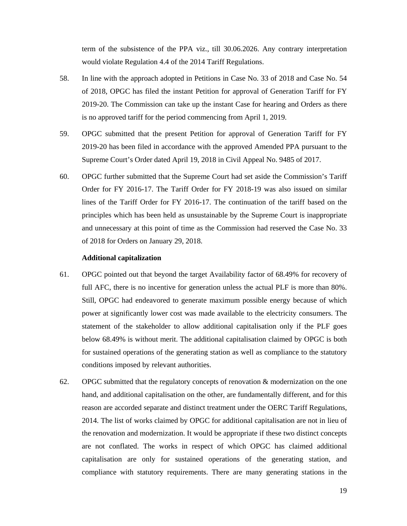term of the subsistence of the PPA viz., till 30.06.2026. Any contrary interpretation would violate Regulation 4.4 of the 2014 Tariff Regulations.

- 58. In line with the approach adopted in Petitions in Case No. 33 of 2018 and Case No. 54 of 2018, OPGC has filed the instant Petition for approval of Generation Tariff for FY 2019-20. The Commission can take up the instant Case for hearing and Orders as there is no approved tariff for the period commencing from April 1, 2019.
- 59. OPGC submitted that the present Petition for approval of Generation Tariff for FY 2019-20 has been filed in accordance with the approved Amended PPA pursuant to the Supreme Court's Order dated April 19, 2018 in Civil Appeal No. 9485 of 2017.
- 60. OPGC further submitted that the Supreme Court had set aside the Commission's Tariff Order for FY 2016-17. The Tariff Order for FY 2018-19 was also issued on similar lines of the Tariff Order for FY 2016-17. The continuation of the tariff based on the principles which has been held as unsustainable by the Supreme Court is inappropriate and unnecessary at this point of time as the Commission had reserved the Case No. 33 of 2018 for Orders on January 29, 2018.

#### **Additional capitalization**

- 61. OPGC pointed out that beyond the target Availability factor of 68.49% for recovery of full AFC, there is no incentive for generation unless the actual PLF is more than 80%. Still, OPGC had endeavored to generate maximum possible energy because of which power at significantly lower cost was made available to the electricity consumers. The statement of the stakeholder to allow additional capitalisation only if the PLF goes below 68.49% is without merit. The additional capitalisation claimed by OPGC is both for sustained operations of the generating station as well as compliance to the statutory conditions imposed by relevant authorities.
- 62. OPGC submitted that the regulatory concepts of renovation  $\&$  modernization on the one hand, and additional capitalisation on the other, are fundamentally different, and for this reason are accorded separate and distinct treatment under the OERC Tariff Regulations, 2014. The list of works claimed by OPGC for additional capitalisation are not in lieu of the renovation and modernization. It would be appropriate if these two distinct concepts are not conflated. The works in respect of which OPGC has claimed additional capitalisation are only for sustained operations of the generating station, and compliance with statutory requirements. There are many generating stations in the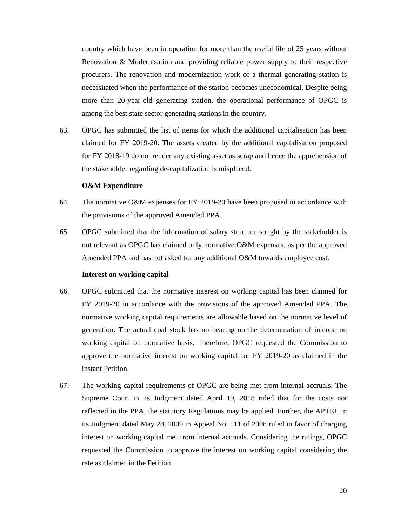country which have been in operation for more than the useful life of 25 years without Renovation & Modernisation and providing reliable power supply to their respective procurers. The renovation and modernization work of a thermal generating station is necessitated when the performance of the station becomes uneconomical. Despite being more than 20-year-old generating station, the operational performance of OPGC is among the best state sector generating stations in the country.

63. OPGC has submitted the list of items for which the additional capitalisation has been claimed for FY 2019-20. The assets created by the additional capitalisation proposed for FY 2018-19 do not render any existing asset as scrap and hence the apprehension of the stakeholder regarding de-capitalization is misplaced.

#### **O&M Expenditure**

- 64. The normative O&M expenses for FY 2019-20 have been proposed in accordance with the provisions of the approved Amended PPA.
- 65. OPGC submitted that the information of salary structure sought by the stakeholder is not relevant as OPGC has claimed only normative O&M expenses, as per the approved Amended PPA and has not asked for any additional O&M towards employee cost.

#### **Interest on working capital**

- 66. OPGC submitted that the normative interest on working capital has been claimed for FY 2019-20 in accordance with the provisions of the approved Amended PPA. The normative working capital requirements are allowable based on the normative level of generation. The actual coal stock has no bearing on the determination of interest on working capital on normative basis. Therefore, OPGC requested the Commission to approve the normative interest on working capital for FY 2019-20 as claimed in the instant Petition.
- 67. The working capital requirements of OPGC are being met from internal accruals. The Supreme Court in its Judgment dated April 19, 2018 ruled that for the costs not reflected in the PPA, the statutory Regulations may be applied. Further, the APTEL in its Judgment dated May 28, 2009 in Appeal No. 111 of 2008 ruled in favor of charging interest on working capital met from internal accruals. Considering the rulings, OPGC requested the Commission to approve the interest on working capital considering the rate as claimed in the Petition.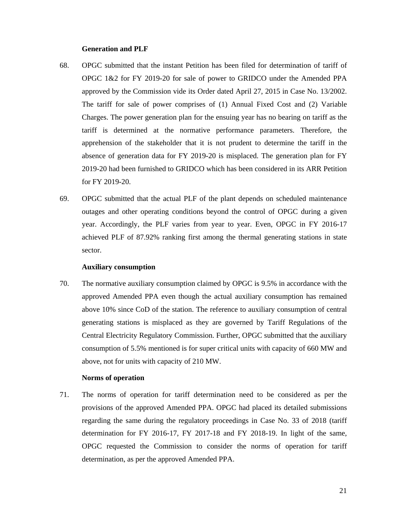#### **Generation and PLF**

- 68. OPGC submitted that the instant Petition has been filed for determination of tariff of OPGC 1&2 for FY 2019-20 for sale of power to GRIDCO under the Amended PPA approved by the Commission vide its Order dated April 27, 2015 in Case No. 13/2002. The tariff for sale of power comprises of (1) Annual Fixed Cost and (2) Variable Charges. The power generation plan for the ensuing year has no bearing on tariff as the tariff is determined at the normative performance parameters. Therefore, the apprehension of the stakeholder that it is not prudent to determine the tariff in the absence of generation data for FY 2019-20 is misplaced. The generation plan for FY 2019-20 had been furnished to GRIDCO which has been considered in its ARR Petition for FY 2019-20.
- 69. OPGC submitted that the actual PLF of the plant depends on scheduled maintenance outages and other operating conditions beyond the control of OPGC during a given year. Accordingly, the PLF varies from year to year. Even, OPGC in FY 2016-17 achieved PLF of 87.92% ranking first among the thermal generating stations in state sector.

#### **Auxiliary consumption**

70. The normative auxiliary consumption claimed by OPGC is 9.5% in accordance with the approved Amended PPA even though the actual auxiliary consumption has remained above 10% since CoD of the station. The reference to auxiliary consumption of central generating stations is misplaced as they are governed by Tariff Regulations of the Central Electricity Regulatory Commission. Further, OPGC submitted that the auxiliary consumption of 5.5% mentioned is for super critical units with capacity of 660 MW and above, not for units with capacity of 210 MW.

#### **Norms of operation**

71. The norms of operation for tariff determination need to be considered as per the provisions of the approved Amended PPA. OPGC had placed its detailed submissions regarding the same during the regulatory proceedings in Case No. 33 of 2018 (tariff determination for FY 2016-17, FY 2017-18 and FY 2018-19. In light of the same, OPGC requested the Commission to consider the norms of operation for tariff determination, as per the approved Amended PPA.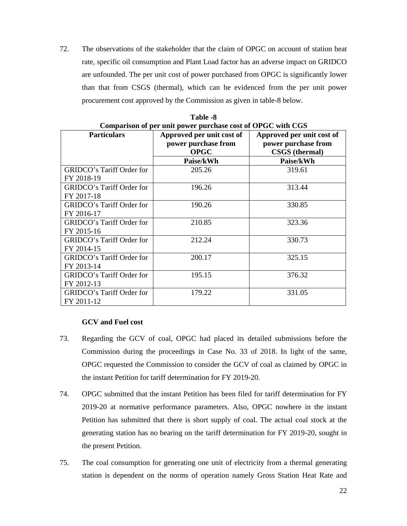72. The observations of the stakeholder that the claim of OPGC on account of station heat rate, specific oil consumption and Plant Load factor has an adverse impact on GRIDCO are unfounded. The per unit cost of power purchased from OPGC is significantly lower than that from CSGS (thermal), which can be evidenced from the per unit power procurement cost approved by the Commission as given in table-8 below.

|                                                | Comparison of per unit power purchase cost of OrGC with CGS     |                                                                           |
|------------------------------------------------|-----------------------------------------------------------------|---------------------------------------------------------------------------|
| <b>Particulars</b>                             | Approved per unit cost of<br>power purchase from<br><b>OPGC</b> | Approved per unit cost of<br>power purchase from<br><b>CSGS</b> (thermal) |
|                                                | Paise/kWh                                                       | Paise/kWh                                                                 |
| <b>GRIDCO's Tariff Order for</b><br>FY 2018-19 | 205.26                                                          | 319.61                                                                    |
| GRIDCO's Tariff Order for<br>FY 2017-18        | 196.26                                                          | 313.44                                                                    |
| GRIDCO's Tariff Order for<br>FY 2016-17        | 190.26                                                          | 330.85                                                                    |
| GRIDCO's Tariff Order for<br>FY 2015-16        | 210.85                                                          | 323.36                                                                    |
| <b>GRIDCO's Tariff Order for</b><br>FY 2014-15 | 212.24                                                          | 330.73                                                                    |
| GRIDCO's Tariff Order for<br>FY 2013-14        | 200.17                                                          | 325.15                                                                    |
| GRIDCO's Tariff Order for<br>FY 2012-13        | 195.15                                                          | 376.32                                                                    |
| <b>GRIDCO's Tariff Order for</b><br>FY 2011-12 | 179.22                                                          | 331.05                                                                    |

**Table -8 Comparison of per unit power purchase cost of OPGC with CGS** 

# **GCV and Fuel cost**

- 73. Regarding the GCV of coal, OPGC had placed its detailed submissions before the Commission during the proceedings in Case No. 33 of 2018. In light of the same, OPGC requested the Commission to consider the GCV of coal as claimed by OPGC in the instant Petition for tariff determination for FY 2019-20.
- 74. OPGC submitted that the instant Petition has been filed for tariff determination for FY 2019-20 at normative performance parameters. Also, OPGC nowhere in the instant Petition has submitted that there is short supply of coal. The actual coal stock at the generating station has no bearing on the tariff determination for FY 2019-20, sought in the present Petition.
- 75. The coal consumption for generating one unit of electricity from a thermal generating station is dependent on the norms of operation namely Gross Station Heat Rate and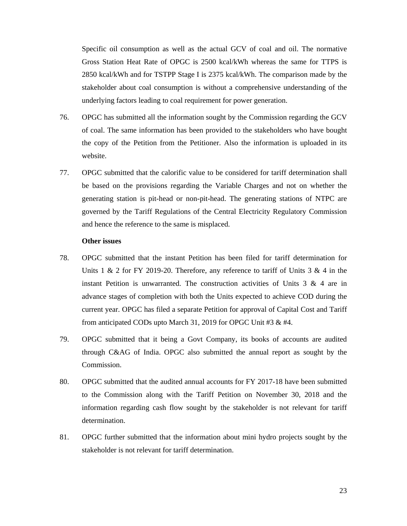Specific oil consumption as well as the actual GCV of coal and oil. The normative Gross Station Heat Rate of OPGC is 2500 kcal/kWh whereas the same for TTPS is 2850 kcal/kWh and for TSTPP Stage I is 2375 kcal/kWh. The comparison made by the stakeholder about coal consumption is without a comprehensive understanding of the underlying factors leading to coal requirement for power generation.

- 76. OPGC has submitted all the information sought by the Commission regarding the GCV of coal. The same information has been provided to the stakeholders who have bought the copy of the Petition from the Petitioner. Also the information is uploaded in its website.
- 77. OPGC submitted that the calorific value to be considered for tariff determination shall be based on the provisions regarding the Variable Charges and not on whether the generating station is pit-head or non-pit-head. The generating stations of NTPC are governed by the Tariff Regulations of the Central Electricity Regulatory Commission and hence the reference to the same is misplaced.

# **Other issues**

- 78. OPGC submitted that the instant Petition has been filed for tariff determination for Units 1  $\&$  2 for FY 2019-20. Therefore, any reference to tariff of Units 3  $\&$  4 in the instant Petition is unwarranted. The construction activities of Units  $3 \& 4$  are in advance stages of completion with both the Units expected to achieve COD during the current year. OPGC has filed a separate Petition for approval of Capital Cost and Tariff from anticipated CODs upto March 31, 2019 for OPGC Unit #3 & #4.
- 79. OPGC submitted that it being a Govt Company, its books of accounts are audited through C&AG of India. OPGC also submitted the annual report as sought by the Commission.
- 80. OPGC submitted that the audited annual accounts for FY 2017-18 have been submitted to the Commission along with the Tariff Petition on November 30, 2018 and the information regarding cash flow sought by the stakeholder is not relevant for tariff determination.
- 81. OPGC further submitted that the information about mini hydro projects sought by the stakeholder is not relevant for tariff determination.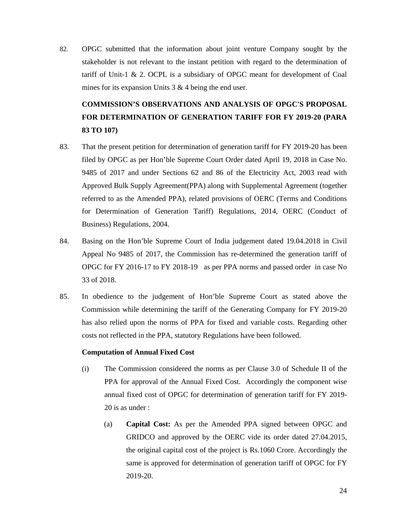82. OPGC submitted that the information about joint venture Company sought by the stakeholder is not relevant to the instant petition with regard to the determination of tariff of Unit-1 & 2. OCPL is a subsidiary of OPGC meant for development of Coal mines for its expansion Units 3 & 4 being the end user.

# **COMMISSION'S OBSERVATIONS AND ANALYSIS OF OPGC'S PROPOSAL FOR DETERMINATION OF GENERATION TARIFF FOR FY 2019-20 (PARA 83 TO 107)**

- 83. That the present petition for determination of generation tariff for FY 2019-20 has been filed by OPGC as per Hon'ble Supreme Court Order dated April 19, 2018 in Case No. 9485 of 2017 and under Sections 62 and 86 of the Electricity Act, 2003 read with Approved Bulk Supply Agreement(PPA) along with Supplemental Agreement (together referred to as the Amended PPA), related provisions of OERC (Terms and Conditions for Determination of Generation Tariff) Regulations, 2014, OERC (Conduct of Business) Regulations, 2004.
- 84. Basing on the Hon'ble Supreme Court of India judgement dated 19.04.2018 in Civil Appeal No 9485 of 2017, the Commission has re-determined the generation tariff of OPGC for FY 2016-17 to FY 2018-19 as per PPA norms and passed order in case No 33 of 2018.
- 85. In obedience to the judgement of Hon'ble Supreme Court as stated above the Commission while determining the tariff of the Generating Company for FY 2019-20 has also relied upon the norms of PPA for fixed and variable costs. Regarding other costs not reflected in the PPA, statutory Regulations have been followed.

## **Computation of Annual Fixed Cost**

- (i) The Commission considered the norms as per Clause 3.0 of Schedule II of the PPA for approval of the Annual Fixed Cost. Accordingly the component wise annual fixed cost of OPGC for determination of generation tariff for FY 2019- 20 is as under :
	- (a) **Capital Cost:** As per the Amended PPA signed between OPGC and GRIDCO and approved by the OERC vide its order dated 27.04.2015, the original capital cost of the project is Rs.1060 Crore. Accordingly the same is approved for determination of generation tariff of OPGC for FY 2019-20.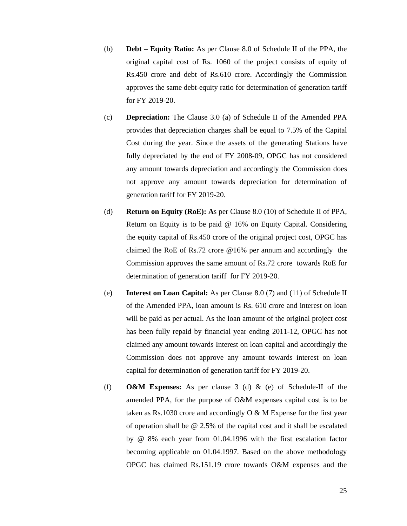- (b) **Debt Equity Ratio:** As per Clause 8.0 of Schedule II of the PPA, the original capital cost of Rs. 1060 of the project consists of equity of Rs.450 crore and debt of Rs.610 crore. Accordingly the Commission approves the same debt-equity ratio for determination of generation tariff for FY 2019-20.
- (c) **Depreciation:** The Clause 3.0 (a) of Schedule II of the Amended PPA provides that depreciation charges shall be equal to 7.5% of the Capital Cost during the year. Since the assets of the generating Stations have fully depreciated by the end of FY 2008-09, OPGC has not considered any amount towards depreciation and accordingly the Commission does not approve any amount towards depreciation for determination of generation tariff for FY 2019-20.
- (d) **Return on Equity (RoE): A**s per Clause 8.0 (10) of Schedule II of PPA, Return on Equity is to be paid @ 16% on Equity Capital. Considering the equity capital of Rs.450 crore of the original project cost, OPGC has claimed the RoE of Rs.72 crore @16% per annum and accordingly the Commission approves the same amount of Rs.72 crore towards RoE for determination of generation tariff for FY 2019-20.
- (e) **Interest on Loan Capital:** As per Clause 8.0 (7) and (11) of Schedule II of the Amended PPA, loan amount is Rs. 610 crore and interest on loan will be paid as per actual. As the loan amount of the original project cost has been fully repaid by financial year ending 2011-12, OPGC has not claimed any amount towards Interest on loan capital and accordingly the Commission does not approve any amount towards interest on loan capital for determination of generation tariff for FY 2019-20.
- (f) **O&M Expenses:** As per clause 3 (d) & (e) of Schedule-II of the amended PPA, for the purpose of O&M expenses capital cost is to be taken as Rs.1030 crore and accordingly  $O & M$  Expense for the first year of operation shall be @ 2.5% of the capital cost and it shall be escalated by @ 8% each year from 01.04.1996 with the first escalation factor becoming applicable on 01.04.1997. Based on the above methodology OPGC has claimed Rs.151.19 crore towards O&M expenses and the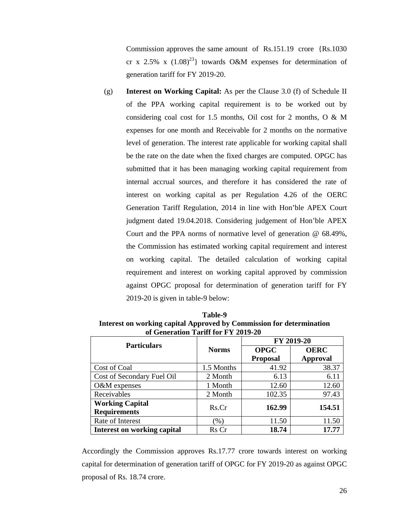Commission approves the same amount of Rs.151.19 crore {Rs.1030 cr x 2.5% x  $(1.08)^{23}$  towards O&M expenses for determination of generation tariff for FY 2019-20.

(g) **Interest on Working Capital:** As per the Clause 3.0 (f) of Schedule II of the PPA working capital requirement is to be worked out by considering coal cost for 1.5 months, Oil cost for 2 months, O & M expenses for one month and Receivable for 2 months on the normative level of generation. The interest rate applicable for working capital shall be the rate on the date when the fixed charges are computed. OPGC has submitted that it has been managing working capital requirement from internal accrual sources, and therefore it has considered the rate of interest on working capital as per Regulation 4.26 of the OERC Generation Tariff Regulation, 2014 in line with Hon'ble APEX Court judgment dated 19.04.2018. Considering judgement of Hon'ble APEX Court and the PPA norms of normative level of generation @ 68.49%, the Commission has estimated working capital requirement and interest on working capital. The detailed calculation of working capital requirement and interest on working capital approved by commission against OPGC proposal for determination of generation tariff for FY 2019-20 is given in table-9 below:

|                                                                      | <b>Table-9</b> |  |
|----------------------------------------------------------------------|----------------|--|
| Interest on working capital Approved by Commission for determination |                |  |
| of Generation Tariff for FY 2019-20                                  |                |  |
|                                                                      |                |  |

| <b>Particulars</b>                            |              |                 | FY 2019-20      |
|-----------------------------------------------|--------------|-----------------|-----------------|
|                                               | <b>Norms</b> | <b>OPGC</b>     | <b>OERC</b>     |
|                                               |              | <b>Proposal</b> | <b>Approval</b> |
| Cost of Coal                                  | 1.5 Months   | 41.92           | 38.37           |
| Cost of Secondary Fuel Oil                    | 2 Month      | 6.13            | 6.11            |
| O&M expenses                                  | 1 Month      | 12.60           | 12.60           |
| Receivables                                   | 2 Month      | 102.35          | 97.43           |
| <b>Working Capital</b><br><b>Requirements</b> | Rs.Cr        | 162.99          | 154.51          |
| Rate of Interest                              | $(\%)$       | 11.50           | 11.50           |
| <b>Interest on working capital</b>            | Rs Cr        | 18.74           | 17.77           |

Accordingly the Commission approves Rs.17.77 crore towards interest on working capital for determination of generation tariff of OPGC for FY 2019-20 as against OPGC proposal of Rs. 18.74 crore.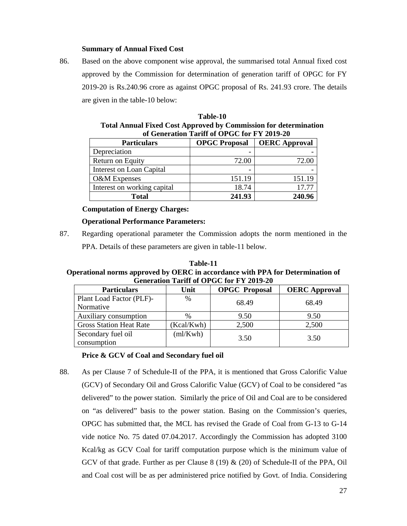# **Summary of Annual Fixed Cost**

86. Based on the above component wise approval, the summarised total Annual fixed cost approved by the Commission for determination of generation tariff of OPGC for FY 2019-20 is Rs.240.96 crore as against OPGC proposal of Rs. 241.93 crore. The details are given in the table-10 below:

| of Generation Tariff of OPGC for FY 2019-20 |                      |                      |  |
|---------------------------------------------|----------------------|----------------------|--|
| <b>Particulars</b>                          | <b>OPGC Proposal</b> | <b>OERC Approval</b> |  |
| Depreciation                                |                      |                      |  |
| Return on Equity                            | 72.00                | 72.00                |  |
| Interest on Loan Capital                    |                      |                      |  |
| <b>O&amp;M</b> Expenses                     | 151.19               | 151.19               |  |
| Interest on working capital                 | 18.74                | 17.77                |  |
| <b>Total</b>                                | 241.93               | 240.96               |  |

| Table-10                                                                |
|-------------------------------------------------------------------------|
| <b>Total Annual Fixed Cost Approved by Commission for determination</b> |
| of Generation Tariff of OPGC for FY 2019-20                             |

# **Computation of Energy Charges:**

# **Operational Performance Parameters:**

87. Regarding operational parameter the Commission adopts the norm mentioned in the PPA. Details of these parameters are given in table-11 below.

**Table-11 Operational norms approved by OERC in accordance with PPA for Determination of Generation Tariff of OPGC for FY 2019-20** 

| <b>Particulars</b>                    | Unit          | <b>OPGC</b> Proposal | <b>OERC</b> Approval |
|---------------------------------------|---------------|----------------------|----------------------|
| Plant Load Factor (PLF)-<br>Normative | $\frac{0}{0}$ | 68.49                | 68.49                |
| Auxiliary consumption                 | %             | 9.50                 | 9.50                 |
| <b>Gross Station Heat Rate</b>        | (Kcal/Kwh)    | 2,500                | 2,500                |
| Secondary fuel oil<br>consumption     | (ml/Kwh)      | 3.50                 | 3.50                 |

# **Price & GCV of Coal and Secondary fuel oil**

88. As per Clause 7 of Schedule-II of the PPA, it is mentioned that Gross Calorific Value (GCV) of Secondary Oil and Gross Calorific Value (GCV) of Coal to be considered "as delivered" to the power station. Similarly the price of Oil and Coal are to be considered on "as delivered" basis to the power station. Basing on the Commission's queries, OPGC has submitted that, the MCL has revised the Grade of Coal from G-13 to G-14 vide notice No. 75 dated 07.04.2017. Accordingly the Commission has adopted 3100 Kcal/kg as GCV Coal for tariff computation purpose which is the minimum value of GCV of that grade. Further as per Clause 8 (19)  $\&$  (20) of Schedule-II of the PPA, Oil and Coal cost will be as per administered price notified by Govt. of India. Considering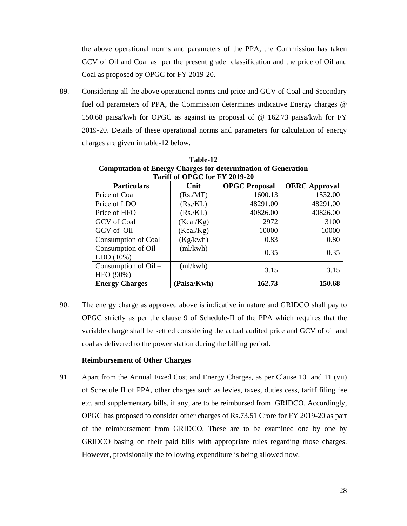the above operational norms and parameters of the PPA, the Commission has taken GCV of Oil and Coal as per the present grade classification and the price of Oil and Coal as proposed by OPGC for FY 2019-20.

89. Considering all the above operational norms and price and GCV of Coal and Secondary fuel oil parameters of PPA, the Commission determines indicative Energy charges @ 150.68 paisa/kwh for OPGC as against its proposal of @ 162.73 paisa/kwh for FY 2019-20. Details of these operational norms and parameters for calculation of energy charges are given in table-12 below.

| Tariff of OPGC for FY 2019-20     |             |                      |                      |  |
|-----------------------------------|-------------|----------------------|----------------------|--|
| <b>Particulars</b>                | Unit        | <b>OPGC Proposal</b> | <b>OERC</b> Approval |  |
| Price of Coal                     | (Rs/MT)     | 1600.13              | 1532.00              |  |
| Price of LDO                      | (Rs/KL)     | 48291.00             | 48291.00             |  |
| Price of HFO                      | (Rs/KL)     | 40826.00             | 40826.00             |  |
| <b>GCV</b> of Coal                | (Kcal/Kg)   | 2972                 | 3100                 |  |
| GCV of Oil                        | (Kcal/Kg)   | 10000                | 10000                |  |
| Consumption of Coal               | (Kg/kwh)    | 0.83                 | 0.80                 |  |
| Consumption of Oil-<br>LDO(10%)   | (ml/kwh)    | 0.35                 | 0.35                 |  |
| Consumption of Oil –<br>HFO (90%) | (ml/kwh)    | 3.15                 | 3.15                 |  |
| <b>Energy Charges</b>             | (Paisa/Kwh) | 162.73               | 150.68               |  |

**Table-12 Computation of Energy Charges for determination of Generation** 

90. The energy charge as approved above is indicative in nature and GRIDCO shall pay to OPGC strictly as per the clause 9 of Schedule-II of the PPA which requires that the variable charge shall be settled considering the actual audited price and GCV of oil and coal as delivered to the power station during the billing period.

#### **Reimbursement of Other Charges**

91. Apart from the Annual Fixed Cost and Energy Charges, as per Clause 10 and 11 (vii) of Schedule II of PPA, other charges such as levies, taxes, duties cess, tariff filing fee etc. and supplementary bills, if any, are to be reimbursed from GRIDCO. Accordingly, OPGC has proposed to consider other charges of Rs.73.51 Crore for FY 2019-20 as part of the reimbursement from GRIDCO. These are to be examined one by one by GRIDCO basing on their paid bills with appropriate rules regarding those charges. However, provisionally the following expenditure is being allowed now.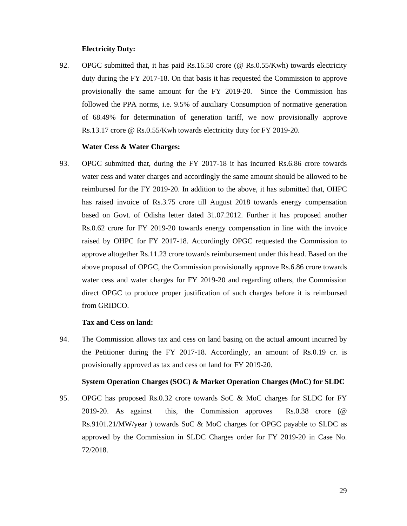#### **Electricity Duty:**

92. OPGC submitted that, it has paid Rs.16.50 crore (@ Rs.0.55/Kwh) towards electricity duty during the FY 2017-18. On that basis it has requested the Commission to approve provisionally the same amount for the FY 2019-20. Since the Commission has followed the PPA norms, i.e. 9.5% of auxiliary Consumption of normative generation of 68.49% for determination of generation tariff, we now provisionally approve Rs.13.17 crore @ Rs.0.55/Kwh towards electricity duty for FY 2019-20.

#### **Water Cess & Water Charges:**

93. OPGC submitted that, during the FY 2017-18 it has incurred Rs.6.86 crore towards water cess and water charges and accordingly the same amount should be allowed to be reimbursed for the FY 2019-20. In addition to the above, it has submitted that, OHPC has raised invoice of Rs.3.75 crore till August 2018 towards energy compensation based on Govt. of Odisha letter dated 31.07.2012. Further it has proposed another Rs.0.62 crore for FY 2019-20 towards energy compensation in line with the invoice raised by OHPC for FY 2017-18. Accordingly OPGC requested the Commission to approve altogether Rs.11.23 crore towards reimbursement under this head. Based on the above proposal of OPGC, the Commission provisionally approve Rs.6.86 crore towards water cess and water charges for FY 2019-20 and regarding others, the Commission direct OPGC to produce proper justification of such charges before it is reimbursed from GRIDCO.

#### **Tax and Cess on land:**

94. The Commission allows tax and cess on land basing on the actual amount incurred by the Petitioner during the FY 2017-18. Accordingly, an amount of Rs.0.19 cr. is provisionally approved as tax and cess on land for FY 2019-20.

## **System Operation Charges (SOC) & Market Operation Charges (MoC) for SLDC**

95. OPGC has proposed Rs.0.32 crore towards SoC & MoC charges for SLDC for FY 2019-20. As against this, the Commission approves Rs.0.38 crore (@ Rs.9101.21/MW/year ) towards SoC & MoC charges for OPGC payable to SLDC as approved by the Commission in SLDC Charges order for FY 2019-20 in Case No. 72/2018.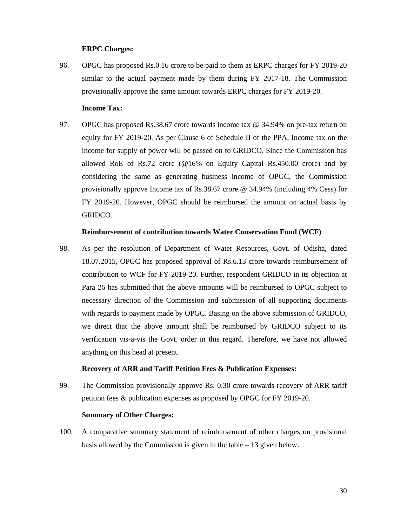## **ERPC Charges:**

96. OPGC has proposed Rs.0.16 crore to be paid to them as ERPC charges for FY 2019-20 similar to the actual payment made by them during FY 2017-18. The Commission provisionally approve the same amount towards ERPC charges for FY 2019-20.

# **Income Tax:**

97. OPGC has proposed Rs.38.67 crore towards income tax @ 34.94% on pre-tax return on equity for FY 2019-20. As per Clause 6 of Schedule II of the PPA, Income tax on the income for supply of power will be passed on to GRIDCO. Since the Commission has allowed RoE of Rs.72 crore ( $@16\%$  on Equity Capital Rs.450.00 crore) and by considering the same as generating business income of OPGC, the Commission provisionally approve Income tax of Rs.38.67 crore @ 34.94% (including 4% Cess) for FY 2019-20. However, OPGC should be reimbursed the amount on actual basis by GRIDCO.

#### **Reimbursement of contribution towards Water Conservation Fund (WCF)**

98. As per the resolution of Department of Water Resources, Govt. of Odisha, dated 18.07.2015, OPGC has proposed approval of Rs.6.13 crore towards reimbursement of contribution to WCF for FY 2019-20. Further, respondent GRIDCO in its objection at Para 26 has submitted that the above amounts will be reimbursed to OPGC subject to necessary direction of the Commission and submission of all supporting documents with regards to payment made by OPGC. Basing on the above submission of GRIDCO, we direct that the above amount shall be reimbursed by GRIDCO subject to its verification vis-a-vis the Govt. order in this regard. Therefore, we have not allowed anything on this head at present.

# **Recovery of ARR and Tariff Petition Fees & Publication Expenses:**

99. The Commission provisionally approve Rs. 0.30 crore towards recovery of ARR tariff petition fees & publication expenses as proposed by OPGC for FY 2019-20.

## **Summary of Other Charges:**

100. A comparative summary statement of reimbursement of other charges on provisional basis allowed by the Commission is given in the table – 13 given below: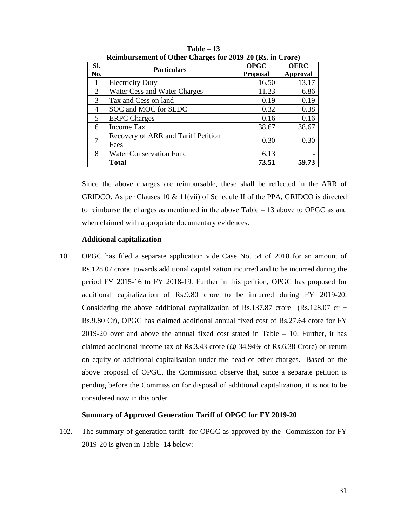|     | <b>Remoursement of Other Charges for 2017-20 (KS, in Crore)</b> |                 |                 |  |  |
|-----|-----------------------------------------------------------------|-----------------|-----------------|--|--|
| SI. | <b>Particulars</b>                                              | <b>OPGC</b>     | <b>OERC</b>     |  |  |
| No. |                                                                 | <b>Proposal</b> | <b>Approval</b> |  |  |
| 1   | <b>Electricity Duty</b>                                         | 16.50           | 13.17           |  |  |
| 2   | Water Cess and Water Charges                                    | 11.23           | 6.86            |  |  |
| 3   | Tax and Cess on land                                            | 0.19            | 0.19            |  |  |
| 4   | SOC and MOC for SLDC                                            | 0.32            | 0.38            |  |  |
| 5   | <b>ERPC</b> Charges                                             | 0.16            | 0.16            |  |  |
| 6   | <b>Income Tax</b>                                               | 38.67           | 38.67           |  |  |
| 7   | Recovery of ARR and Tariff Petition<br>Fees                     | 0.30            | 0.30            |  |  |
| 8   | <b>Water Conservation Fund</b>                                  | 6.13            |                 |  |  |
|     | Total                                                           | 73.51           | 59.73           |  |  |

**Table – 13 Reimbursement of Other Charges for 2019-20 (Rs. in Crore)** 

Since the above charges are reimbursable, these shall be reflected in the ARR of GRIDCO. As per Clauses 10 & 11(vii) of Schedule II of the PPA, GRIDCO is directed to reimburse the charges as mentioned in the above Table – 13 above to OPGC as and when claimed with appropriate documentary evidences.

## **Additional capitalization**

101. OPGC has filed a separate application vide Case No. 54 of 2018 for an amount of Rs.128.07 crore towards additional capitalization incurred and to be incurred during the period FY 2015-16 to FY 2018-19. Further in this petition, OPGC has proposed for additional capitalization of Rs.9.80 crore to be incurred during FY 2019-20. Considering the above additional capitalization of Rs.137.87 crore (Rs.128.07 cr + Rs.9.80 Cr), OPGC has claimed additional annual fixed cost of Rs.27.64 crore for FY 2019-20 over and above the annual fixed cost stated in Table – 10. Further, it has claimed additional income tax of Rs.3.43 crore (@ 34.94% of Rs.6.38 Crore) on return on equity of additional capitalisation under the head of other charges. Based on the above proposal of OPGC, the Commission observe that, since a separate petition is pending before the Commission for disposal of additional capitalization, it is not to be considered now in this order.

## **Summary of Approved Generation Tariff of OPGC for FY 2019-20**

102. The summary of generation tariff for OPGC as approved by the Commission for FY 2019-20 is given in Table -14 below: